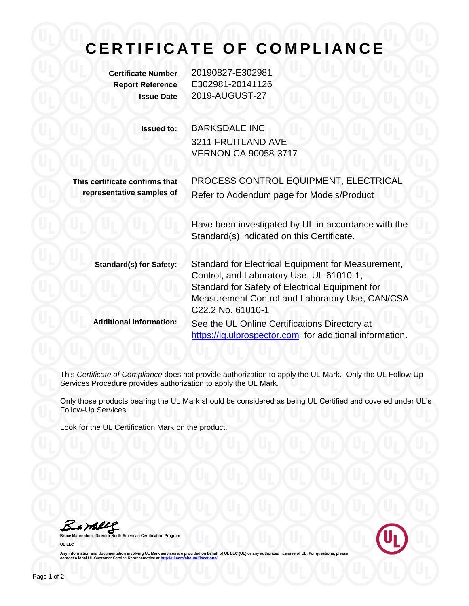## **CERTIFICATE OF COMPLIANCE**

**Certificate Number** 20190827-E302981 **Report Reference** E302981-20141126 **Issue Date** 2019-AUGUST-27

> **Issued to:** BARKSDALE INC 3211 FRUITLAND AVE VERNON CA 90058-3717

**This certificate confirms that representative samples of**

> Have been investigated by UL in accordance with the Standard(s) indicated on this Certificate.

PROCESS CONTROL EQUIPMENT, ELECTRICAL

Refer to Addendum page for Models/Product

| <b>Standard(s) for Safety:</b> | Standard for Electrical Equipment for Measurement,      |
|--------------------------------|---------------------------------------------------------|
|                                | Control, and Laboratory Use, UL 61010-1,                |
|                                | Standard for Safety of Electrical Equipment for         |
|                                | Measurement Control and Laboratory Use, CAN/CSA         |
|                                | C22.2 No. 61010-1                                       |
| <b>Additional Information:</b> | See the UL Online Certifications Directory at           |
|                                | https://iq.ulprospector.com for additional information. |

This *Certificate of Compliance* does not provide authorization to apply the UL Mark. Only the UL Follow-Up Services Procedure provides authorization to apply the UL Mark.

Only those products bearing the UL Mark should be considered as being UL Certified and covered under UL's Follow-Up Services.

Look for the UL Certification Mark on the product.

Bamble

**American Certification Program UL LLC**



Any information and documentation involving UL Mark services are provided on behalf of UL LLC (UL) or any authorized licensee of UL. For questions, please<br>contact a local UL Customer Service Representative at <u>http://ul.co</u>